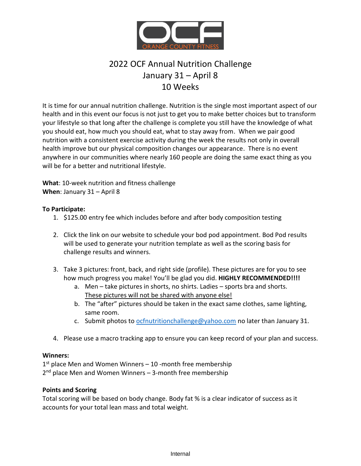

# 2022 OCF Annual Nutrition Challenge January 31 – April 8 10 Weeks

It is time for our annual nutrition challenge. Nutrition is the single most important aspect of our health and in this event our focus is not just to get you to make better choices but to transform your lifestyle so that long after the challenge is complete you still have the knowledge of what you should eat, how much you should eat, what to stay away from. When we pair good nutrition with a consistent exercise activity during the week the results not only in overall health improve but our physical composition changes our appearance. There is no event anywhere in our communities where nearly 160 people are doing the same exact thing as you will be for a better and nutritional lifestyle.

**What**: 10-week nutrition and fitness challenge **When**: January 31 – April 8

## **To Participate:**

- 1. \$125.00 entry fee which includes before and after body composition testing
- 2. Click the link on our website to schedule your bod pod appointment. Bod Pod results will be used to generate your nutrition template as well as the scoring basis for challenge results and winners.
- 3. Take 3 pictures: front, back, and right side (profile). These pictures are for you to see how much progress you make! You'll be glad you did. **HIGHLY RECOMMENDED!!!!**
	- a. Men take pictures in shorts, no shirts. Ladies sports bra and shorts. These pictures will not be shared with anyone else!
	- b. The "after" pictures should be taken in the exact same clothes, same lighting, same room.
	- c. Submit photos to [ocfnutritionchallenge@yahoo.com](mailto:ocfnutritionchallenge@yahoo.com) no later than January 31.
- 4. Please use a macro tracking app to ensure you can keep record of your plan and success.

## **Winners:**

1<sup>st</sup> place Men and Women Winners – 10 -month free membership 2<sup>nd</sup> place Men and Women Winners – 3-month free membership

## **Points and Scoring**

Total scoring will be based on body change. Body fat % is a clear indicator of success as it accounts for your total lean mass and total weight.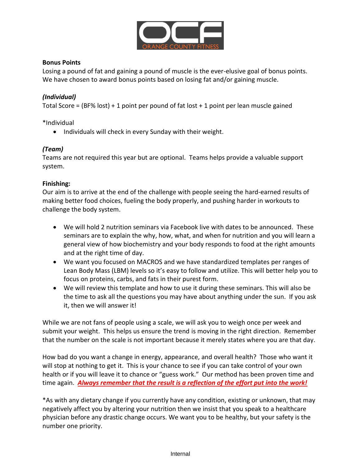

## **Bonus Points**

Losing a pound of fat and gaining a pound of muscle is the ever-elusive goal of bonus points. We have chosen to award bonus points based on losing fat and/or gaining muscle.

## *(Individual)*

Total Score =  $(BF% lost) + 1$  point per pound of fat lost  $+ 1$  point per lean muscle gained

\*Individual

• Individuals will check in every Sunday with their weight.

## *(Team)*

Teams are not required this year but are optional. Teams helps provide a valuable support system.

## **Finishing:**

Our aim is to arrive at the end of the challenge with people seeing the hard-earned results of making better food choices, fueling the body properly, and pushing harder in workouts to challenge the body system.

- We will hold 2 nutrition seminars via Facebook live with dates to be announced. These seminars are to explain the why, how, what, and when for nutrition and you will learn a general view of how biochemistry and your body responds to food at the right amounts and at the right time of day.
- We want you focused on MACROS and we have standardized templates per ranges of Lean Body Mass (LBM) levels so it's easy to follow and utilize. This will better help you to focus on proteins, carbs, and fats in their purest form.
- We will review this template and how to use it during these seminars. This will also be the time to ask all the questions you may have about anything under the sun. If you ask it, then we will answer it!

While we are not fans of people using a scale, we will ask you to weigh once per week and submit your weight. This helps us ensure the trend is moving in the right direction. Remember that the number on the scale is not important because it merely states where you are that day.

How bad do you want a change in energy, appearance, and overall health? Those who want it will stop at nothing to get it. This is your chance to see if you can take control of your own health or if you will leave it to chance or "guess work." Our method has been proven time and time again. *Always remember that the result is a reflection of the effort put into the work!*

\*As with any dietary change if you currently have any condition, existing or unknown, that may negatively affect you by altering your nutrition then we insist that you speak to a healthcare physician before any drastic change occurs. We want you to be healthy, but your safety is the number one priority.